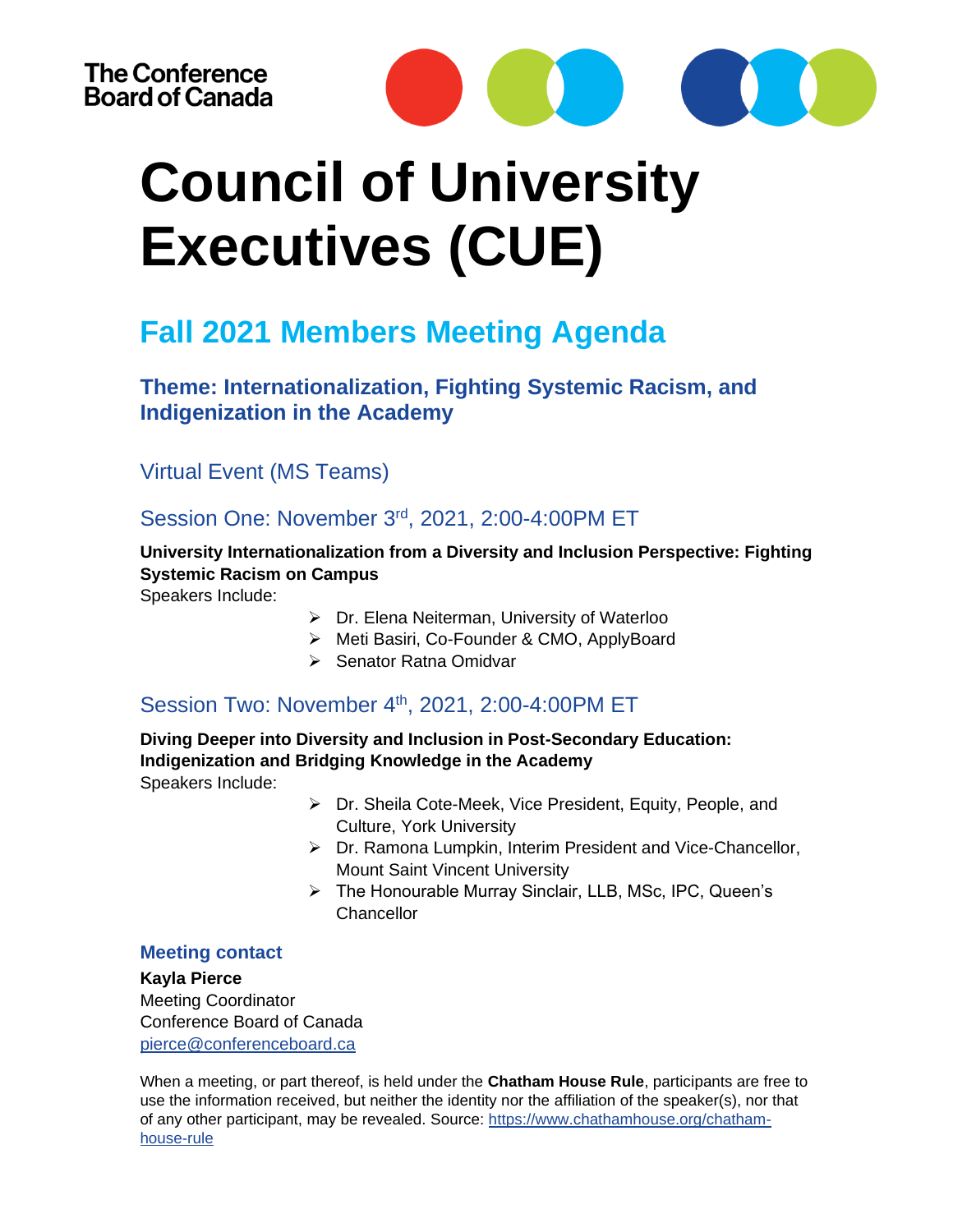

# **Council of University Executives (CUE)**

# **Fall 2021 Members Meeting Agenda**

## **Theme: Internationalization, Fighting Systemic Racism, and Indigenization in the Academy**

## Virtual Event (MS Teams)

### Session One: November 3rd, 2021, 2:00-4:00PM ET

#### **University Internationalization from a Diversity and Inclusion Perspective: Fighting Systemic Racism on Campus**

Speakers Include:

- ➢ Dr. Elena Neiterman, University of Waterloo
- ➢ Meti Basiri, Co-Founder & CMO, ApplyBoard
- ➢ Senator Ratna Omidvar

## Session Two: November 4<sup>th</sup>, 2021, 2:00-4:00PM ET

**Diving Deeper into Diversity and Inclusion in Post-Secondary Education: Indigenization and Bridging Knowledge in the Academy**  Speakers Include:

- ➢ Dr. Sheila Cote-Meek, Vice President, Equity, People, and Culture, York University
- ➢ Dr. Ramona Lumpkin, Interim President and Vice-Chancellor, Mount Saint Vincent University
- ➢ The Honourable Murray Sinclair, LLB, MSc, IPC, Queen's Chancellor

#### **Meeting contact**

#### **Kayla Pierce**

Meeting Coordinator Conference Board of Canada [pierce@conferenceboard.ca](mailto:pierce@conferenceboard.ca)

When a meeting, or part thereof, is held under the **Chatham House Rule**, participants are free to use the information received, but neither the identity nor the affiliation of the speaker(s), nor that of any other participant, may be revealed. Source: [https://www.chathamhouse.org/chatham](https://www.chathamhouse.org/chatham-house-rule)[house-rule](https://www.chathamhouse.org/chatham-house-rule)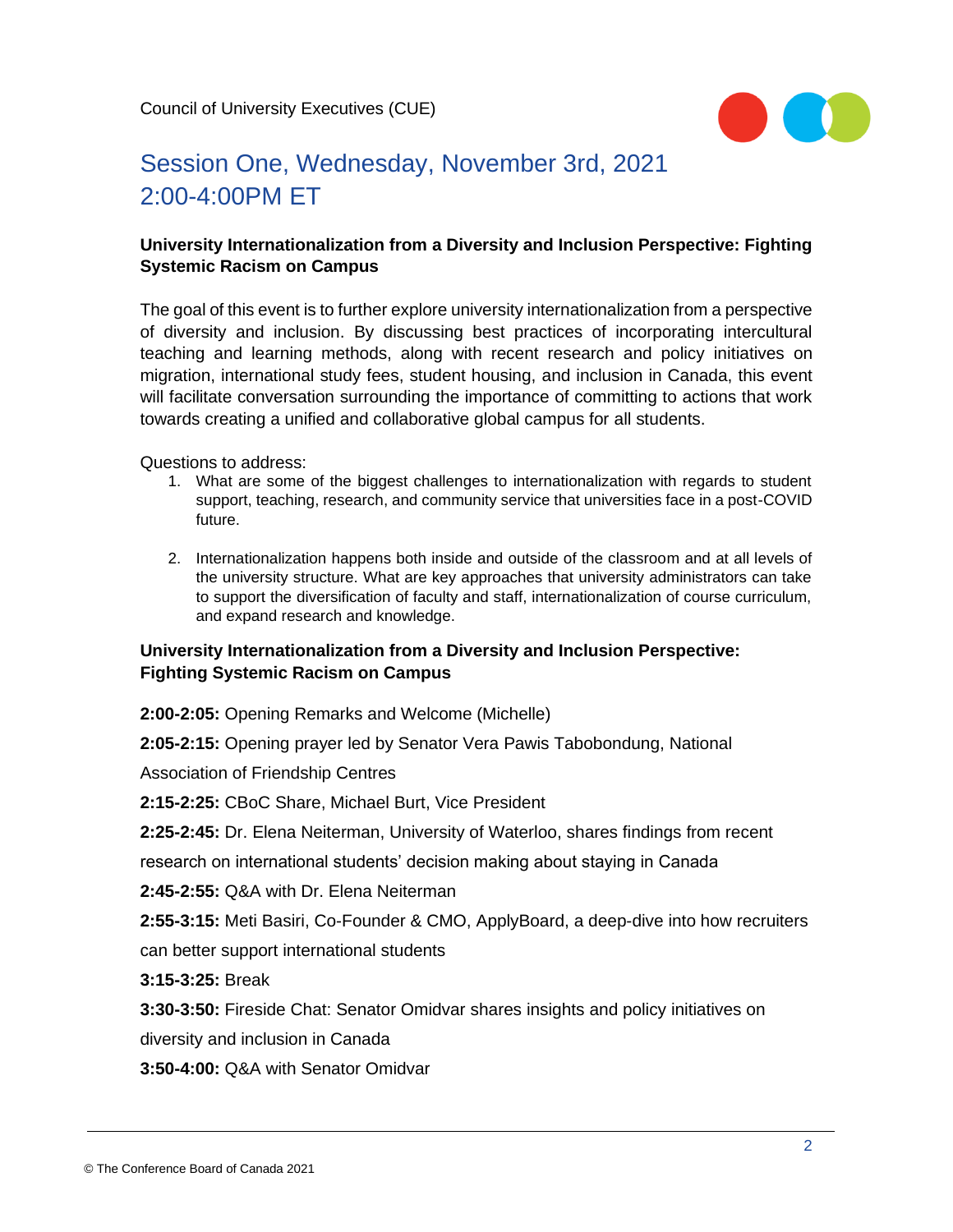

# Session One, Wednesday, November 3rd, 2021 2:00-4:00PM ET

#### **University Internationalization from a Diversity and Inclusion Perspective: Fighting Systemic Racism on Campus**

The goal of this event is to further explore university internationalization from a perspective of diversity and inclusion. By discussing best practices of incorporating intercultural teaching and learning methods, along with recent research and policy initiatives on migration, international study fees, student housing, and inclusion in Canada, this event will facilitate conversation surrounding the importance of committing to actions that work towards creating a unified and collaborative global campus for all students.

Questions to address:

- 1. What are some of the biggest challenges to internationalization with regards to student support, teaching, research, and community service that universities face in a post-COVID future.
- 2. Internationalization happens both inside and outside of the classroom and at all levels of the university structure. What are key approaches that university administrators can take to support the diversification of faculty and staff, internationalization of course curriculum, and expand research and knowledge.

#### **University Internationalization from a Diversity and Inclusion Perspective: Fighting Systemic Racism on Campus**

**2:00-2:05:** Opening Remarks and Welcome (Michelle)

**2:05-2:15:** Opening prayer led by Senator Vera Pawis Tabobondung, National

Association of Friendship Centres

**2:15-2:25:** CBoC Share, Michael Burt, Vice President

**2:25-2:45:** Dr. Elena Neiterman, University of Waterloo, shares findings from recent

research on international students' decision making about staying in Canada

**2:45-2:55:** Q&A with Dr. Elena Neiterman

**2:55-3:15:** Meti Basiri, Co-Founder & CMO, ApplyBoard, a deep-dive into how recruiters

can better support international students

**3:15-3:25:** Break

**3:30-3:50:** Fireside Chat: Senator Omidvar shares insights and policy initiatives on

diversity and inclusion in Canada

**3:50-4:00:** Q&A with Senator Omidvar